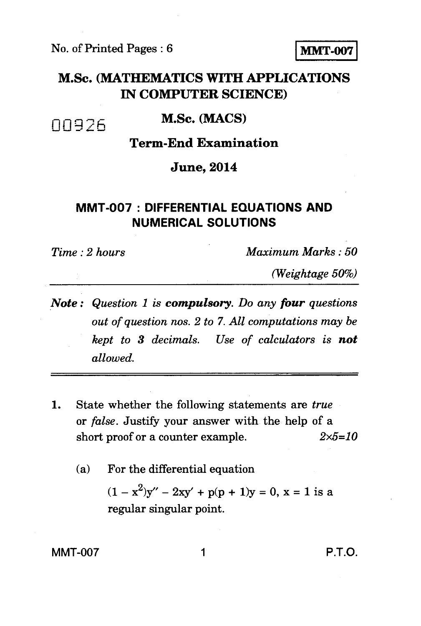No. of Printed Pages : 6 **MMT-007** 

## **M.Sc. (MATHEMATICS WITH APPLICATIONS IN COMPUTER SCIENCE)**

#### **M.Sc. (MACS)**

## **Term-End Examination**

#### **June, 2014**

### **MMT-007 : DIFFERENTIAL EQUATIONS AND NUMERICAL SOLUTIONS**

00926

*Time : 2 hours Maximum Marks : 50* 

*(Weightage 50%)* 

- *Note : Question 1 is compulsory. Do any four questions out of question nos. 2 to 7. All computations may be kept to 3 decimals. Use of calculators is not allowed.*
- 1. State whether the following statements are *true*  or *false.* Justify your answer with the help of a short proof or a counter example. *2x5=10* 
	- (a) For the differential equation

 $(1 - x^2)y'' - 2xy' + p(p + 1)y = 0$ ,  $x = 1$  is a regular singular point.

 $MMT-007$  1 P.T.O.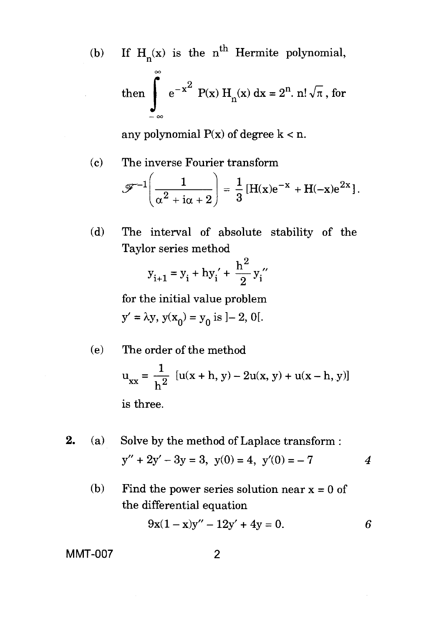(b) If  $H_n(x)$  is the n<sup>th</sup> Hermite polynomial, 00 If  $H_n(x)$  is the<br>then  $\int_{-\infty}^{\infty} e^{-x^2} P(x) dx$ <sup>2</sup> P(x) H<sub>n</sub>(x) dx = 2<sup>n</sup>. n!  $\sqrt{\pi}$ , for

any polynomial  $P(x)$  of degree  $k < n$ .

- (c) The inverse Fourier transform  $\left(\frac{1}{1\alpha+2}\right) = \frac{1}{3} [H(x)e^{-x} + H(-x)e^{2x}].$
- (d) The interval of absolute stability of the Taylor series method

$$
y_{i+1} = y_i + hy'_i + \frac{h^2}{2}y''_i
$$

for the initial value problem

$$
y' = \lambda y, y(x_0) = y_0
$$
 is  $]-2, 0[$ .

(e) The order of the method

$$
u_{xx} = \frac{1}{h^2} [u(x+h, y) - 2u(x, y) + u(x-h, y)]
$$
  
is three.

- 2. (a) Solve by the method of Laplace transform :  $y'' + 2y' - 3y = 3$ ,  $y(0) = 4$ ,  $y'(0) = -7$  4
	- (b) Find the power series solution near  $x = 0$  of the differential equation

$$
9x(1-x)y'' - 12y' + 4y = 0.
$$

MMT-007 2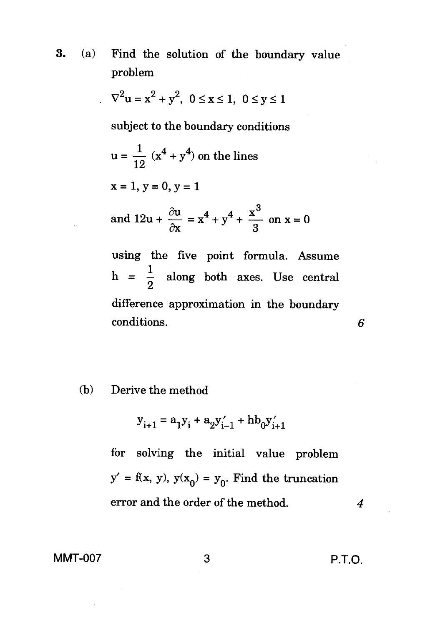3. (a) Find the solution of the boundary value problem

$$
\nabla^2 \mathbf{u} = \mathbf{x}^2 + \mathbf{y}^2, \ 0 \le \mathbf{x} \le 1, \ 0 \le \mathbf{y} \le 1
$$

subject to the boundary conditions

$$
u = {1 \over 12} (x^4 + y^4)
$$
 on the lines

 $x = 1, y = 0, y = 1$ 

and 
$$
12u + \frac{\partial u}{\partial x} = x^4 + y^4 + \frac{x^3}{3}
$$
 on  $x = 0$ 

using the five point formula. Assume h =  $\frac{1}{2}$  along both axes. Use central difference approximation in the boundary conditions.

#### (b) Derive the method

$$
y_{i+1} = a_1 y_i + a_2 y'_{i-1} + h b_0 y'_{i+1}
$$

for solving the initial value problem  $y' = f(x, y), y(x_0) = y_0$ . Find the truncation error and the order of the method. *4* 

6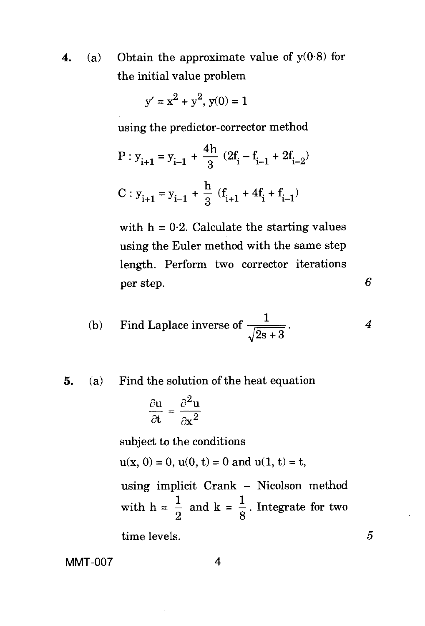4. (a) Obtain the approximate value of  $y(0.8)$  for the initial value problem

$$
y' = x^2 + y^2, y(0) = 1
$$

using the predictor-corrector method

$$
P: y_{i+1} = y_{i-1} + \frac{4h}{3} (2f_i - f_{i-1} + 2f_{i-2})
$$
  

$$
C: y_{i+1} = y_{i-1} + \frac{h}{3} (f_{i+1} + 4f_i + f_{i-1})
$$

with  $h = 0.2$ . Calculate the starting values using the Euler method with the same step length. Perform two corrector iterations per step. *6* 

(b) Find Laplace inverse of 
$$
\frac{1}{\sqrt{2s+3}}
$$
. 4

# **5.** (a) Find the solution of the heat equation<br>  $\partial u \quad \partial^2 u$

$$
\frac{\partial u}{\partial t}=\frac{\partial^2 u}{\partial x^2}
$$

subject to the conditions

$$
u(x, 0) = 0
$$
,  $u(0, t) = 0$  and  $u(1, t) = t$ ,

using implicit Crank - Nicolson method with  $h = \frac{1}{2}$  and  $k = \frac{1}{8}$ . Integrate for two

time levels.

MMT-007 4

5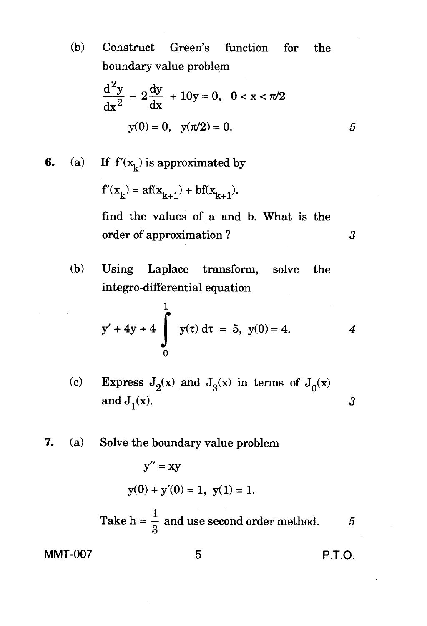(b) Construct Green's function for the boundary value problem

$$
\frac{d^2y}{dx^2} + 2\frac{dy}{dx} + 10y = 0, \quad 0 < x < \pi/2
$$
\n
$$
y(0) = 0, \quad y(\pi/2) = 0. \tag{5}
$$

**6.** (a) If  $f'(x_k)$  is approximated by

$$
f'(x_k) = af(x_{k+1}) + bf(x_{k+1}).
$$

find the values of a and b. What is the order of approximation ? 3

(b) Using Laplace transform, solve the integro-differential equation

$$
y' + 4y + 4 \int_{0}^{1} y(\tau) d\tau = 5, y(0) = 4.
$$
 4

- (c) Express  $J_2(x)$  and  $J_3(x)$  in terms of  $J_0(x)$ and  $J_1(x)$ . 3
- 7. (a) Solve the boundary value problem

$$
y'' = xy
$$
  
y(0) + y'(0) = 1, y(1) = 1.

Take 
$$
h = \frac{1}{3}
$$
 and use second order method.